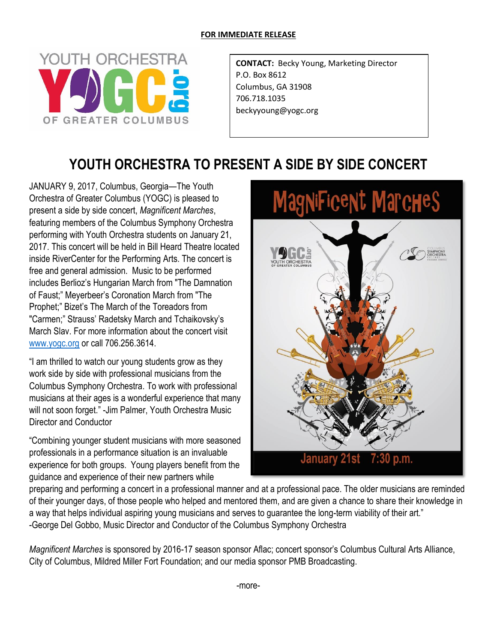## **FOR IMMEDIATE RELEASE**



**CONTACT:** Becky Young, Marketing Director P.O. Box 8612 Columbus, GA 31908 706.718.1035 beckyyoung@yogc.org

## **YOUTH ORCHESTRA TO PRESENT A SIDE BY SIDE CONCERT**

JANUARY 9, 2017, Columbus, Georgia—The Youth Orchestra of Greater Columbus (YOGC) is pleased to present a side by side concert, *Magnificent Marches*, featuring members of the Columbus Symphony Orchestra performing with Youth Orchestra students on January 21, 2017. This concert will be held in Bill Heard Theatre located inside RiverCenter for the Performing Arts. The concert is free and general admission. Music to be performed includes Berlioz's Hungarian March from "The Damnation of Faust;" Meyerbeer's Coronation March from "The Prophet;" Bizet's The March of the Toreadors from "Carmen;" Strauss' Radetsky March and Tchaikovsky's March Slav. For more information about the concert visit [www.yogc.org](http://www.yogc.org/) or call 706.256.3614.

"I am thrilled to watch our young students grow as they work side by side with professional musicians from the Columbus Symphony Orchestra. To work with professional musicians at their ages is a wonderful experience that many will not soon forget." -Jim Palmer, Youth Orchestra Music Director and Conductor

"Combining younger student musicians with more seasoned professionals in a performance situation is an invaluable experience for both groups. Young players benefit from the guidance and experience of their new partners while



preparing and performing a concert in a professional manner and at a professional pace. The older musicians are reminded of their younger days, of those people who helped and mentored them, and are given a chance to share their knowledge in a way that helps individual aspiring young musicians and serves to guarantee the long-term viability of their art." -George Del Gobbo, Music Director and Conductor of the Columbus Symphony Orchestra

*Magnificent Marches* is sponsored by 2016-17 season sponsor Aflac; concert sponsor's Columbus Cultural Arts Alliance, City of Columbus, Mildred Miller Fort Foundation; and our media sponsor PMB Broadcasting.